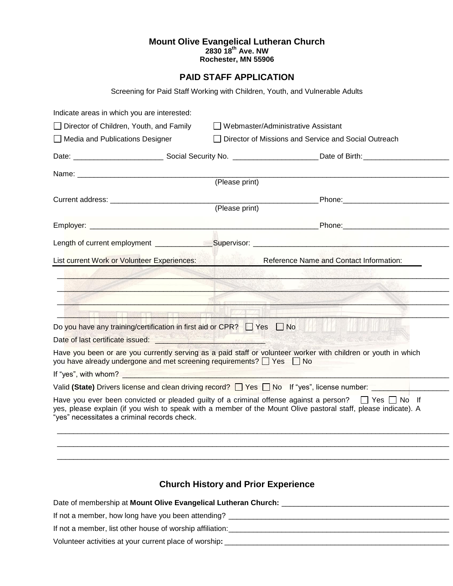## **Mount Olive Evangelical Lutheran Church 2830 18th Ave. NW Rochester, MN 55906**

## **PAID STAFF APPLICATION**

Screening for Paid Staff Working with Children, Youth, and Vulnerable Adults

| Indicate areas in which you are interested:                                                                                                                                                                                          |                                            |                                                                                                                                                                                                                                  |  |
|--------------------------------------------------------------------------------------------------------------------------------------------------------------------------------------------------------------------------------------|--------------------------------------------|----------------------------------------------------------------------------------------------------------------------------------------------------------------------------------------------------------------------------------|--|
| Director of Children, Youth, and Family                                                                                                                                                                                              |                                            | Webmaster/Administrative Assistant                                                                                                                                                                                               |  |
| □ Media and Publications Designer                                                                                                                                                                                                    |                                            | Director of Missions and Service and Social Outreach                                                                                                                                                                             |  |
|                                                                                                                                                                                                                                      |                                            |                                                                                                                                                                                                                                  |  |
|                                                                                                                                                                                                                                      |                                            |                                                                                                                                                                                                                                  |  |
|                                                                                                                                                                                                                                      | (Please print)                             |                                                                                                                                                                                                                                  |  |
|                                                                                                                                                                                                                                      |                                            | Phone: _______________________                                                                                                                                                                                                   |  |
|                                                                                                                                                                                                                                      | (Please print)                             |                                                                                                                                                                                                                                  |  |
|                                                                                                                                                                                                                                      |                                            |                                                                                                                                                                                                                                  |  |
|                                                                                                                                                                                                                                      |                                            |                                                                                                                                                                                                                                  |  |
| List current Work or Volunteer Experiences:                                                                                                                                                                                          |                                            | <b>Reference Name and Contact Information:</b>                                                                                                                                                                                   |  |
|                                                                                                                                                                                                                                      |                                            |                                                                                                                                                                                                                                  |  |
|                                                                                                                                                                                                                                      |                                            |                                                                                                                                                                                                                                  |  |
|                                                                                                                                                                                                                                      |                                            |                                                                                                                                                                                                                                  |  |
| <b>A CONTRACTOR IN A CONTRACTOR</b>                                                                                                                                                                                                  |                                            |                                                                                                                                                                                                                                  |  |
| Do you have any training/certification in first aid or CPR? □ Yes □ No                                                                                                                                                               |                                            |                                                                                                                                                                                                                                  |  |
|                                                                                                                                                                                                                                      |                                            |                                                                                                                                                                                                                                  |  |
| you have already undergone and met screening requirements? □ Yes □ No                                                                                                                                                                |                                            | Have you been or are you currently serving as a paid staff or volunteer worker with children or youth in which                                                                                                                   |  |
| If "yes", with whom? <u>Electrical and the set of the set of the set of the set of the set of the set of the set of the set of the set of the set of the set of the set of the set of the set of the set of the set of the set o</u> |                                            |                                                                                                                                                                                                                                  |  |
|                                                                                                                                                                                                                                      |                                            | Valid (State) Drivers license and clean driving record? T Yes T No If "yes", license number:                                                                                                                                     |  |
| "yes" necessitates a criminal records check.                                                                                                                                                                                         |                                            | Have you ever been convicted or pleaded guilty of a criminal offense against a person? $\Box$ Yes $\Box$ No If<br>yes, please explain (if you wish to speak with a member of the Mount Olive pastoral staff, please indicate). A |  |
|                                                                                                                                                                                                                                      |                                            |                                                                                                                                                                                                                                  |  |
|                                                                                                                                                                                                                                      |                                            |                                                                                                                                                                                                                                  |  |
|                                                                                                                                                                                                                                      |                                            |                                                                                                                                                                                                                                  |  |
|                                                                                                                                                                                                                                      | <b>Church History and Prior Experience</b> |                                                                                                                                                                                                                                  |  |
|                                                                                                                                                                                                                                      |                                            |                                                                                                                                                                                                                                  |  |
|                                                                                                                                                                                                                                      |                                            |                                                                                                                                                                                                                                  |  |

If not a member, how long have you been attending? \_\_\_\_\_\_\_\_\_\_\_\_\_\_\_\_\_\_\_\_\_\_\_\_\_\_\_\_\_\_\_\_\_\_\_\_\_\_\_\_\_\_\_\_\_\_\_\_\_\_\_\_\_\_

If not a member, list other house of worship affiliation:\_\_\_\_\_\_\_\_\_\_\_\_\_\_\_\_\_\_\_\_\_\_\_\_\_\_\_\_\_\_\_\_\_\_\_\_\_\_\_\_\_\_\_\_\_\_\_\_\_\_\_\_\_\_

Volunteer activities at your current place of worship**:** \_\_\_\_\_\_\_\_\_\_\_\_\_\_\_\_\_\_\_\_\_\_\_\_\_\_\_\_\_\_\_\_\_\_\_\_\_\_\_\_\_\_\_\_\_\_\_\_\_\_\_\_\_\_\_